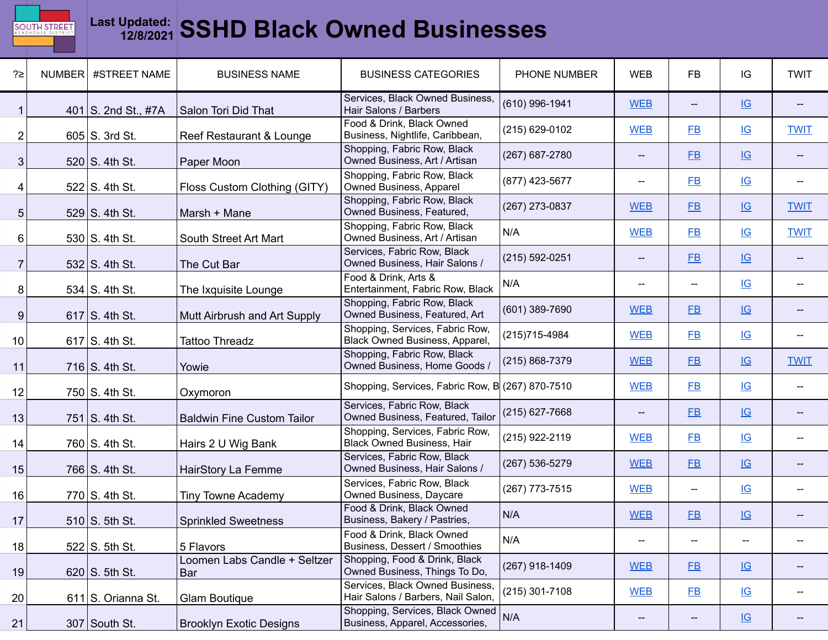

## **Last Updated: 12/8/2021 SSHD Black Owned Businesses**

| ?≥ | NUMBER   #STREET NAME | <b>BUSINESS NAME</b>                       | <b>BUSINESS CATEGORIES</b>                                             | PHONE NUMBER       | <b>WEB</b>               | <b>FB</b>                                           | IG                        | <b>TWIT</b>                                         |
|----|-----------------------|--------------------------------------------|------------------------------------------------------------------------|--------------------|--------------------------|-----------------------------------------------------|---------------------------|-----------------------------------------------------|
|    | 401 S. 2nd St., #7A   | Salon Tori Did That                        | Services, Black Owned Business,<br>Hair Salons / Barbers               | (610) 996-1941     | <b>WEB</b>               | $-\!$                                               | $\underline{\mathsf{IG}}$ | $\hspace{0.05cm} -\hspace{0.05cm} -\hspace{0.05cm}$ |
| 2  | $605$ S. 3rd St.      | Reef Restaurant & Lounge                   | Food & Drink, Black Owned<br>Business, Nightlife, Caribbean,           | (215) 629-0102     | <b>WEB</b>               | $E$ B                                               | $\underline{\mathsf{IG}}$ | <b>TWIT</b>                                         |
| 3  | $520$ S. 4th St.      | Paper Moon                                 | Shopping, Fabric Row, Black<br>Owned Business, Art / Artisan           | $(267)$ 687-2780   | --                       | $E$ B                                               | $\underline{\mathsf{IG}}$ | $\qquad \qquad -$                                   |
|    | $522$ S. 4th St.      | Floss Custom Clothing (GITY)               | Shopping, Fabric Row, Black<br>Owned Business, Apparel                 | (877) 423-5677     | --                       | $E$ B                                               | $\underline{\mathsf{IG}}$ | $- -$                                               |
| 5  | 529 S. 4th St.        | Marsh + Mane                               | Shopping, Fabric Row, Black<br>Owned Business, Featured,               | $(267)$ 273-0837   | <b>WEB</b>               | E                                                   | $\underline{\mathsf{IG}}$ | <b>TWIT</b>                                         |
| 6  | $530$ S. 4th St.      | South Street Art Mart                      | Shopping, Fabric Row, Black<br>Owned Business, Art / Artisan           | N/A                | <b>WEB</b>               | E                                                   | $\underline{\mathsf{IG}}$ | <b>TWIT</b>                                         |
| 7  | $532$ S. 4th St.      | The Cut Bar                                | Services, Fabric Row, Black<br>Owned Business, Hair Salons /           | $(215) 592 - 0251$ | --                       | $E$ B                                               | IG                        | $\hspace{0.05cm} -\hspace{0.05cm} -\hspace{0.05cm}$ |
| 8  | $534$ S. 4th St.      | The Ixquisite Lounge                       | Food & Drink, Arts &<br>Entertainment, Fabric Row, Black               | N/A                | --                       | $\hspace{0.05cm} -\hspace{0.05cm} -\hspace{0.05cm}$ | $\underline{\mathsf{IG}}$ | $\hspace{0.05cm} \dashv$                            |
| 9  | 617 S. 4th St.        | Mutt Airbrush and Art Supply               | Shopping, Fabric Row, Black<br>Owned Business, Featured, Art           | $(601)$ 389-7690   | <b>WEB</b>               | E                                                   | IG                        | $\hspace{0.05cm} -\hspace{0.05cm} -\hspace{0.05cm}$ |
| 10 | 617 $S.$ 4th St.      | <b>Tattoo Threadz</b>                      | Shopping, Services, Fabric Row,<br>Black Owned Business, Apparel,      | (215) 715-4984     | <b>WEB</b>               | FB                                                  | $\underline{\mathsf{IG}}$ | $\overline{\phantom{m}}$                            |
| 11 | 716 S. 4th St.        | Yowie                                      | Shopping, Fabric Row, Black<br>Owned Business, Home Goods /            | (215) 868-7379     | <b>WEB</b>               | FB                                                  | $\underline{\mathsf{IG}}$ | <b>TWIT</b>                                         |
| 12 | 750 S. 4th St.        | Oxymoron                                   | Shopping, Services, Fabric Row, B (267) 870-7510                       |                    | <b>WEB</b>               | E                                                   | $\underline{\mathsf{IG}}$ | $\overline{\phantom{m}}$                            |
| 13 | $751$ S. 4th St.      | <b>Baldwin Fine Custom Tailor</b>          | Services, Fabric Row, Black<br>Owned Business, Featured, Tailor        | (215) 627-7668     | --                       | E                                                   | $\underline{\mathsf{IG}}$ | $\hspace{0.05cm} -\hspace{0.05cm} -\hspace{0.05cm}$ |
| 14 | 760 S. 4th St.        | Hairs 2 U Wig Bank                         | Shopping, Services, Fabric Row,<br>Black Owned Business, Hair          | $(215)$ 922-2119   | <b>WEB</b>               | $E$ B                                               | $\underline{\mathsf{IG}}$ | $\overline{\phantom{m}}$                            |
| 15 | 766 S. 4th St.        | HairStory La Femme                         | Services, Fabric Row, Black<br>Owned Business, Hair Salons /           | $(267) 536 - 5279$ | <b>WEB</b>               | FB                                                  | IG                        | $\overline{\phantom{a}}$                            |
| 16 | 770 S. 4th St.        | <b>Tiny Towne Academy</b>                  | Services, Fabric Row, Black<br>Owned Business, Daycare                 | $(267)$ 773-7515   | <b>WEB</b>               | $\overline{\phantom{a}}$                            | $\underline{\mathsf{IG}}$ | $- -$                                               |
| 17 | $510$ S. 5th St.      | <b>Sprinkled Sweetness</b>                 | Food & Drink, Black Owned<br>Business, Bakery / Pastries,              | N/A                | <b>WEB</b>               | E                                                   | $\underline{\mathsf{IG}}$ | $-\!$                                               |
| 18 | 522 S. 5th St.        | 5 Flavors                                  | Food & Drink, Black Owned<br>Business, Dessert / Smoothies             | N/A                | $\hspace{0.05cm} \dashv$ | $\hspace{0.05cm} -\hspace{0.05cm} -\hspace{0.05cm}$ | $\hspace{0.05cm} \dashv$  | --                                                  |
| 19 | $620$ S. 5th St.      | Loomen Labs Candle + Seltzer<br><b>Bar</b> | Shopping, Food & Drink, Black<br>Owned Business, Things To Do,         | $(267)$ 918-1409   | <b>WEB</b>               | E                                                   | $\underline{\mathsf{IG}}$ | $\overline{\phantom{a}}$                            |
| 20 | 611 S. Orianna St.    | <b>Glam Boutique</b>                       | Services, Black Owned Business,<br>Hair Salons / Barbers, Nail Salon,  | $(215)$ 301-7108   | <b>WEB</b>               | E                                                   | $\underline{\mathsf{IG}}$ | $- -$                                               |
| 21 | 307 South St.         | <b>Brooklyn Exotic Designs</b>             | Shopping, Services, Black Owned N/A<br>Business, Apparel, Accessories, |                    | $\overline{\phantom{a}}$ | $- -$                                               | $\underline{\mathsf{IG}}$ | $--$                                                |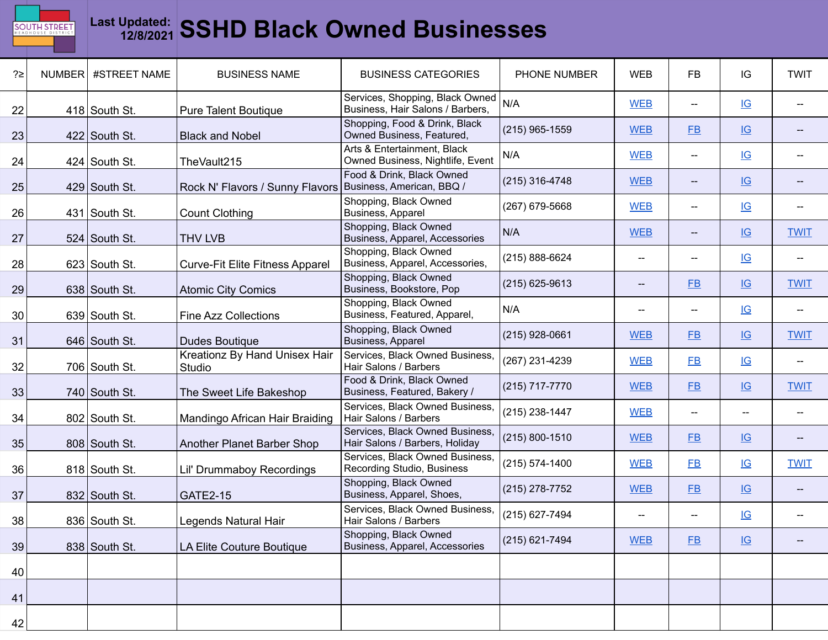

## **Last Updated: 12/8/2021 SSHD Black Owned Businesses**

| ?≥              | NUMBER | #STREET NAME    | <b>BUSINESS NAME</b>                    | <b>BUSINESS CATEGORIES</b>                                          | PHONE NUMBER     | <b>WEB</b>               | FB                                    | IG                        | <b>TWIT</b>              |
|-----------------|--------|-----------------|-----------------------------------------|---------------------------------------------------------------------|------------------|--------------------------|---------------------------------------|---------------------------|--------------------------|
| 22              |        | 418 South St.   | <b>Pure Talent Boutique</b>             | Services, Shopping, Black Owned<br>Business, Hair Salons / Barbers, | N/A              | <b>WEB</b>               | $\overline{a}$                        | $\underline{\mathsf{IG}}$ |                          |
| 23              |        | $422$ South St. | <b>Black and Nobel</b>                  | Shopping, Food & Drink, Black<br>Owned Business, Featured,          | $(215)$ 965-1559 | <b>WEB</b>               | $E$ B                                 | $\underline{\mathsf{IG}}$ |                          |
| 24              |        | $424$ South St. | TheVault215                             | Arts & Entertainment, Black<br>Owned Business, Nightlife, Event     | N/A              | <b>WEB</b>               | --                                    | IG                        |                          |
| 25              |        | $429$ South St. | Rock N' Flavors / Sunny Flavors         | Food & Drink, Black Owned<br>Business, American, BBQ /              | (215) 316-4748   | <b>WEB</b>               | $\hspace{0.05cm}$ – $\hspace{0.05cm}$ | IG                        |                          |
| 26              |        | 431 South St.   | <b>Count Clothing</b>                   | Shopping, Black Owned<br>Business, Apparel                          | (267) 679-5668   | <b>WEB</b>               | $\hspace{0.05cm}$ – $\hspace{0.05cm}$ | IG                        | $-$                      |
| 27              |        | 524 South St.   | <b>THV LVB</b>                          | Shopping, Black Owned<br>Business, Apparel, Accessories             | N/A              | <b>WEB</b>               | $\qquad \qquad -$                     | $\underline{\mathsf{IG}}$ | <b>TWIT</b>              |
| 28              |        | 623 South St.   | <b>Curve-Fit Elite Fitness Apparel</b>  | Shopping, Black Owned<br>Business, Apparel, Accessories,            | (215) 888-6624   | $\hspace{0.05cm}$        | $\overline{\phantom{a}}$              | IG                        | $\overline{\phantom{a}}$ |
| 29              |        | 638 South St.   | <b>Atomic City Comics</b>               | Shopping, Black Owned<br>Business, Bookstore, Pop                   | $(215)$ 625-9613 | $\hspace{0.05cm}$ –      | $E$ B                                 | IG                        | <b>TWIT</b>              |
| 30 <sup>°</sup> |        | 639 South St.   | <b>Fine Azz Collections</b>             | Shopping, Black Owned<br>Business, Featured, Apparel,               | N/A              | $\hspace{0.05cm}$        | $\overline{\phantom{a}}$              | IG                        |                          |
| 31              |        | 646 South St.   | <b>Dudes Boutique</b>                   | Shopping, Black Owned<br>Business, Apparel                          | (215) 928-0661   | <b>WEB</b>               | $E$ B                                 | $\underline{\mathsf{IG}}$ | <b>TWIT</b>              |
| 32              |        | 706 South St.   | Kreationz By Hand Unisex Hair<br>Studio | Services, Black Owned Business,<br>Hair Salons / Barbers            | (267) 231-4239   | <b>WEB</b>               | FB                                    | IG                        |                          |
| 33              |        | 740 South St.   | The Sweet Life Bakeshop                 | Food & Drink, Black Owned<br>Business, Featured, Bakery /           | (215) 717-7770   | <b>WEB</b>               | $E$ B                                 | IG                        | <b>TWIT</b>              |
| 34              |        | 802 South St.   | Mandingo African Hair Braiding          | Services, Black Owned Business,<br>Hair Salons / Barbers            | (215) 238-1447   | <b>WEB</b>               | --                                    | --                        |                          |
| 35              |        | 808 South St.   | Another Planet Barber Shop              | Services, Black Owned Business,<br>Hair Salons / Barbers, Holiday   | (215) 800-1510   | <b>WEB</b>               | $E$ B                                 | IG                        | $\overline{\phantom{a}}$ |
| 36              |        | 818 South St.   | Lil' Drummaboy Recordings               | Services, Black Owned Business,<br>Recording Studio, Business       | (215) 574-1400   | <b>WEB</b>               | <b>FB</b>                             | $\underline{\mathsf{IG}}$ | <b>TWIT</b>              |
| 37              |        | 832 South St.   | <b>GATE2-15</b>                         | Shopping, Black Owned<br>Business, Apparel, Shoes,                  | (215) 278-7752   | <b>WEB</b>               | $E$ B                                 | IG                        |                          |
| 38              |        | 836 South St.   | Legends Natural Hair                    | Services, Black Owned Business,<br>Hair Salons / Barbers            | (215) 627-7494   | $\hspace{0.05cm} \dashv$ | $\overline{\phantom{a}}$              | $\underline{\mathsf{IG}}$ |                          |
| 39              |        | 838 South St.   | LA Elite Couture Boutique               | Shopping, Black Owned<br>Business, Apparel, Accessories             | (215) 621-7494   | <b>WEB</b>               | $E$ B                                 | IG                        |                          |
| 40              |        |                 |                                         |                                                                     |                  |                          |                                       |                           |                          |
| 41              |        |                 |                                         |                                                                     |                  |                          |                                       |                           |                          |
| 42              |        |                 |                                         |                                                                     |                  |                          |                                       |                           |                          |